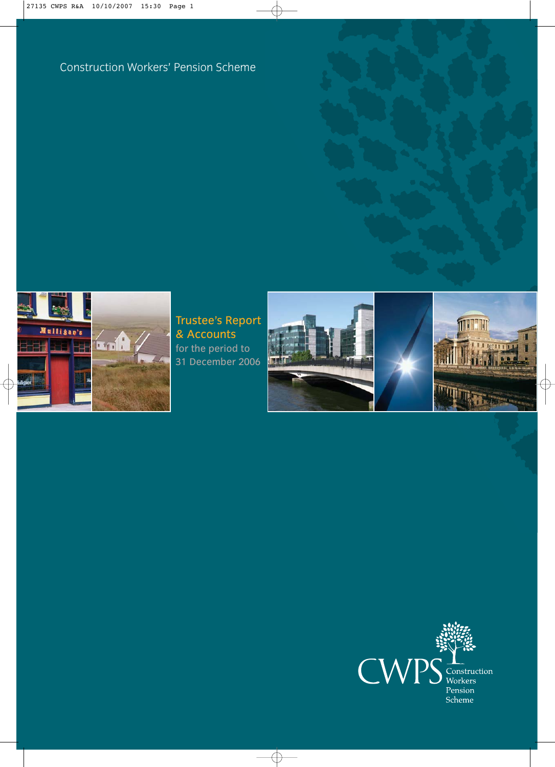# Construction Workers' Pension Scheme



Trustee's Report & Accounts for the period to 31 December 2006



 $\oplus$ 



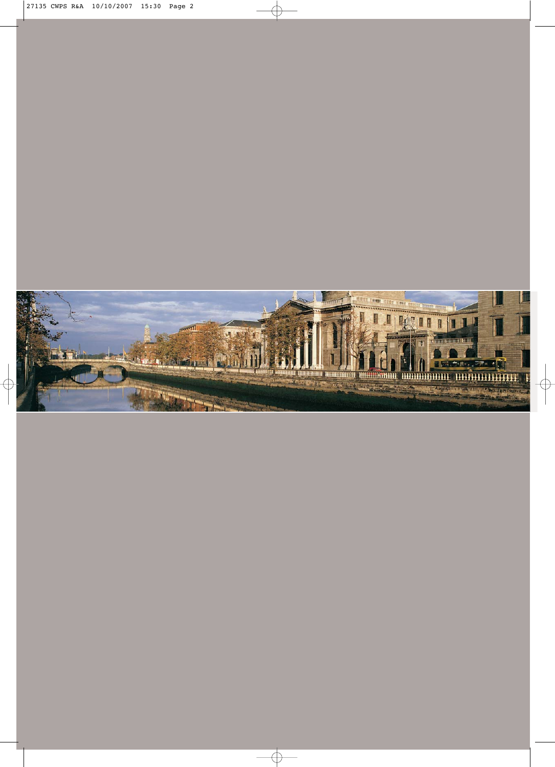

 $\bigoplus$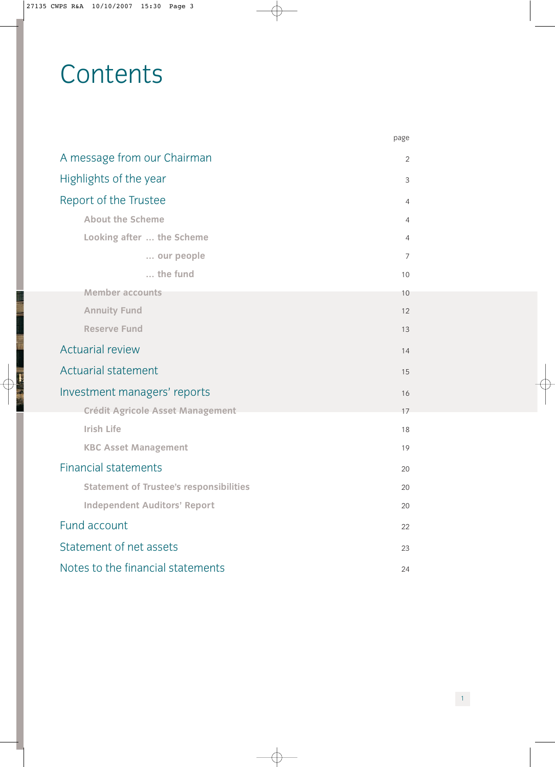# **Contents**

|                                                | page           |  |
|------------------------------------------------|----------------|--|
| A message from our Chairman                    | 2              |  |
| Highlights of the year                         | 3              |  |
| Report of the Trustee                          | 4              |  |
| <b>About the Scheme</b>                        | $\overline{4}$ |  |
| Looking after  the Scheme                      | 4              |  |
| our people                                     | $\overline{7}$ |  |
| the fund                                       | 10             |  |
| <b>Member accounts</b>                         | 10             |  |
| <b>Annuity Fund</b>                            | 12             |  |
| <b>Reserve Fund</b>                            | 13             |  |
| <b>Actuarial review</b>                        | 14             |  |
| <b>Actuarial statement</b>                     | 15             |  |
| Investment managers' reports                   | 16             |  |
| <b>Crédit Agricole Asset Management</b>        | 17             |  |
| <b>Irish Life</b>                              | 18             |  |
| <b>KBC Asset Management</b>                    | 19             |  |
| <b>Financial statements</b>                    | 20             |  |
| <b>Statement of Trustee's responsibilities</b> | 20             |  |
| <b>Independent Auditors' Report</b>            | 20             |  |
| Fund account                                   | 22             |  |
| Statement of net assets                        | 23             |  |
| Notes to the financial statements              | 24             |  |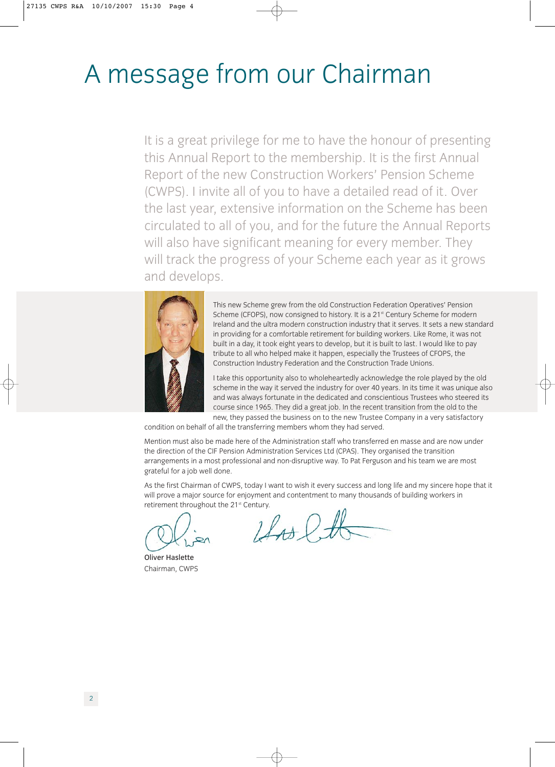# A message from our Chairman

It is a great privilege for me to have the honour of presenting this Annual Report to the membership. It is the first Annual Report of the new Construction Workers' Pension Scheme (CWPS). I invite all of you to have a detailed read of it. Over the last year, extensive information on the Scheme has been circulated to all of you, and for the future the Annual Reports will also have significant meaning for every member. They will track the progress of your Scheme each year as it grows and develops.



This new Scheme grew from the old Construction Federation Operatives' Pension Scheme (CFOPS), now consigned to history. It is a 21<sup>st</sup> Century Scheme for modern Ireland and the ultra modern construction industry that it serves. It sets a new standard in providing for a comfortable retirement for building workers. Like Rome, it was not built in a day, it took eight years to develop, but it is built to last. I would like to pay tribute to all who helped make it happen, especially the Trustees of CFOPS, the Construction Industry Federation and the Construction Trade Unions.

I take this opportunity also to wholeheartedly acknowledge the role played by the old scheme in the way it served the industry for over 40 years. In its time it was unique also and was always fortunate in the dedicated and conscientious Trustees who steered its course since 1965. They did a great job. In the recent transition from the old to the new, they passed the business on to the new Trustee Company in a very satisfactory

condition on behalf of all the transferring members whom they had served.

Mention must also be made here of the Administration staff who transferred en masse and are now under the direction of the CIF Pension Administration Services Ltd (CPAS). They organised the transition arrangements in a most professional and non-disruptive way. To Pat Ferguson and his team we are most grateful for a job well done.

As the first Chairman of CWPS, today I want to wish it every success and long life and my sincere hope that it will prove a major source for enjoyment and contentment to many thousands of building workers in retirement throughout the 21<sup>st</sup> Century.

Oliver Haslette Chairman, CWPS

HAD P=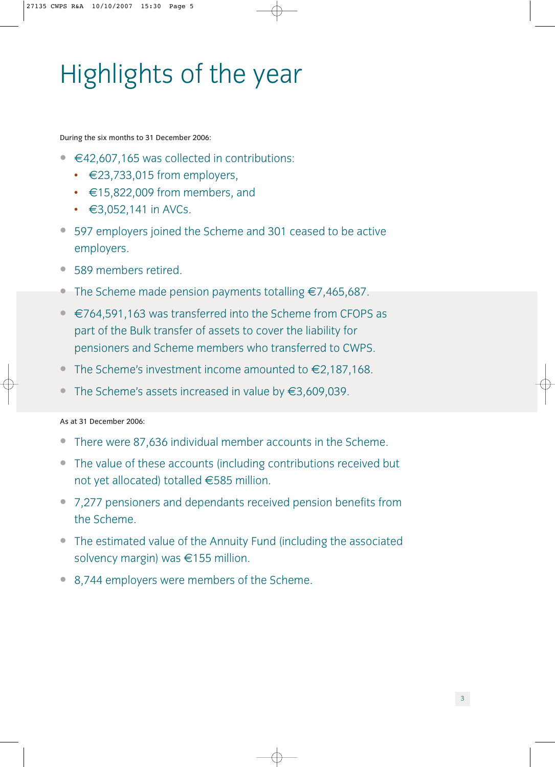# Highlights of the year

During the six months to 31 December 2006:

- €42,607,165 was collected in contributions:
	- $\cdot$   $\in$  23,733,015 from employers,
	- $\cdot$  €15,822,009 from members, and
	- $€3,052,141$  in AVCs.
- 597 employers joined the Scheme and 301 ceased to be active employers.
- 589 members retired.
- The Scheme made pension payments totalling €7,465,687.
- €764,591,163 was transferred into the Scheme from CFOPS as part of the Bulk transfer of assets to cover the liability for pensioners and Scheme members who transferred to CWPS.
- The Scheme's investment income amounted to €2,187,168.
- The Scheme's assets increased in value by €3,609,039.

## As at 31 December 2006:

- $\bullet$ There were 87,636 individual member accounts in the Scheme.
- The value of these accounts (including contributions received but not yet allocated) totalled €585 million.
- 7,277 pensioners and dependants received pension benefits from the Scheme.
- The estimated value of the Annuity Fund (including the associated solvency margin) was €155 million.
- 8,744 employers were members of the Scheme.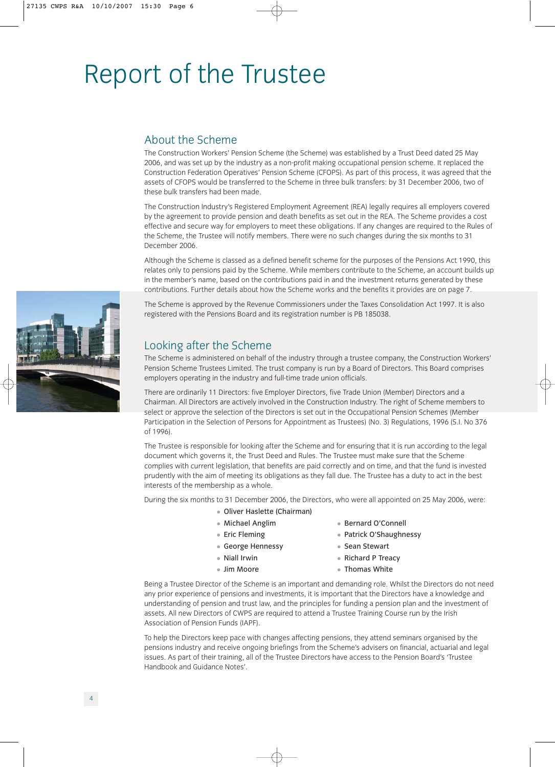# About the Scheme

The Construction Workers' Pension Scheme (the Scheme) was established by a Trust Deed dated 25 May 2006, and was set up by the industry as a non-profit making occupational pension scheme. It replaced the Construction Federation Operatives' Pension Scheme (CFOPS). As part of this process, it was agreed that the assets of CFOPS would be transferred to the Scheme in three bulk transfers: by 31 December 2006, two of these bulk transfers had been made.

The Construction Industry's Registered Employment Agreement (REA) legally requires all employers covered by the agreement to provide pension and death benefits as set out in the REA. The Scheme provides a cost effective and secure way for employers to meet these obligations. If any changes are required to the Rules of the Scheme, the Trustee will notify members. There were no such changes during the six months to 31 December 2006.

Although the Scheme is classed as a defined benefit scheme for the purposes of the Pensions Act 1990, this relates only to pensions paid by the Scheme. While members contribute to the Scheme, an account builds up in the member's name, based on the contributions paid in and the investment returns generated by these contributions. Further details about how the Scheme works and the benefits it provides are on page 7.

The Scheme is approved by the Revenue Commissioners under the Taxes Consolidation Act 1997. It is also registered with the Pensions Board and its registration number is PB 185038.

# Looking after the Scheme

The Scheme is administered on behalf of the industry through a trustee company, the Construction Workers' Pension Scheme Trustees Limited. The trust company is run by a Board of Directors. This Board comprises employers operating in the industry and full-time trade union officials.

There are ordinarily 11 Directors: five Employer Directors, five Trade Union (Member) Directors and a Chairman. All Directors are actively involved in the Construction Industry. The right of Scheme members to select or approve the selection of the Directors is set out in the Occupational Pension Schemes (Member Participation in the Selection of Persons for Appointment as Trustees) (No. 3) Regulations, 1996 (S.I. No 376 of 1996).

The Trustee is responsible for looking after the Scheme and for ensuring that it is run according to the legal document which governs it, the Trust Deed and Rules. The Trustee must make sure that the Scheme complies with current legislation, that benefits are paid correctly and on time, and that the fund is invested prudently with the aim of meeting its obligations as they fall due. The Trustee has a duty to act in the best interests of the membership as a whole.

During the six months to 31 December 2006, the Directors, who were all appointed on 25 May 2006, were:

- Oliver Haslette (Chairman)
- Michael Anglim - Bernard O'Connell • Eric Fleming **- All Accords** - All Accords - All Accords - All Accords - All Accords - All Accords - All Accords - All Accords - All Accords - All Accords - All Accords - All Accords - All Accords - All Accords - All Acc Patrick O'Shaughnessy - George Hennessy - Sean Stewart  $\bullet$  Niall Irwin  $\bullet$ • Richard P Treacy - Jim Moore -Thomas White

Being a Trustee Director of the Scheme is an important and demanding role. Whilst the Directors do not need any prior experience of pensions and investments, it is important that the Directors have a knowledge and understanding of pension and trust law, and the principles for funding a pension plan and the investment of assets. All new Directors of CWPS are required to attend a Trustee Training Course run by the Irish Association of Pension Funds (IAPF).

To help the Directors keep pace with changes affecting pensions, they attend seminars organised by the pensions industry and receive ongoing briefings from the Scheme's advisers on financial, actuarial and legal issues. As part of their training, all of the Trustee Directors have access to the Pension Board's 'Trustee Handbook and Guidance Notes'.

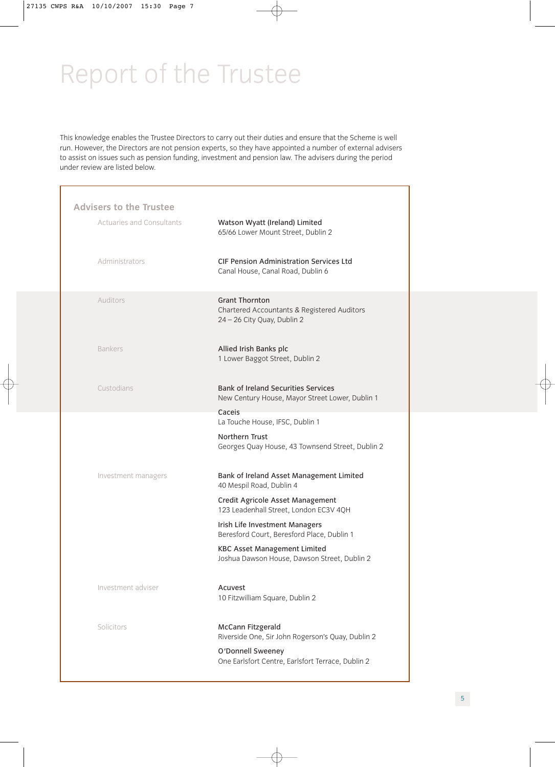This knowledge enables the Trustee Directors to carry out their duties and ensure that the Scheme is well run. However, the Directors are not pension experts, so they have appointed a number of external advisers to assist on issues such as pension funding, investment and pension law. The advisers during the period under review are listed below.

| <b>Actuaries and Consultants</b> | Watson Wyatt (Ireland) Limited<br>65/66 Lower Mount Street, Dublin 2                                |  |
|----------------------------------|-----------------------------------------------------------------------------------------------------|--|
| Administrators                   | <b>CIF Pension Administration Services Ltd</b><br>Canal House, Canal Road, Dublin 6                 |  |
| Auditors                         | <b>Grant Thornton</b><br>Chartered Accountants & Registered Auditors<br>24 - 26 City Quay, Dublin 2 |  |
| <b>Bankers</b>                   | Allied Irish Banks plc<br>1 Lower Baggot Street, Dublin 2                                           |  |
| Custodians                       | <b>Bank of Ireland Securities Services</b><br>New Century House, Mayor Street Lower, Dublin 1       |  |
|                                  | Caceis<br>La Touche House, IFSC, Dublin 1                                                           |  |
|                                  | Northern Trust<br>Georges Quay House, 43 Townsend Street, Dublin 2                                  |  |
| Investment managers              | Bank of Ireland Asset Management Limited<br>40 Mespil Road, Dublin 4                                |  |
|                                  | Credit Agricole Asset Management<br>123 Leadenhall Street, London EC3V 4QH                          |  |
|                                  | Irish Life Investment Managers<br>Beresford Court, Beresford Place, Dublin 1                        |  |
|                                  | <b>KBC Asset Management Limited</b><br>Joshua Dawson House, Dawson Street, Dublin 2                 |  |
| Investment adviser               | Acuvest<br>10 Fitzwilliam Square, Dublin 2                                                          |  |
| Solicitors                       | McCann Fitzgerald<br>Riverside One, Sir John Rogerson's Quay, Dublin 2                              |  |
|                                  | O'Donnell Sweeney<br>One Earlsfort Centre, Earlsfort Terrace, Dublin 2                              |  |

Æ

5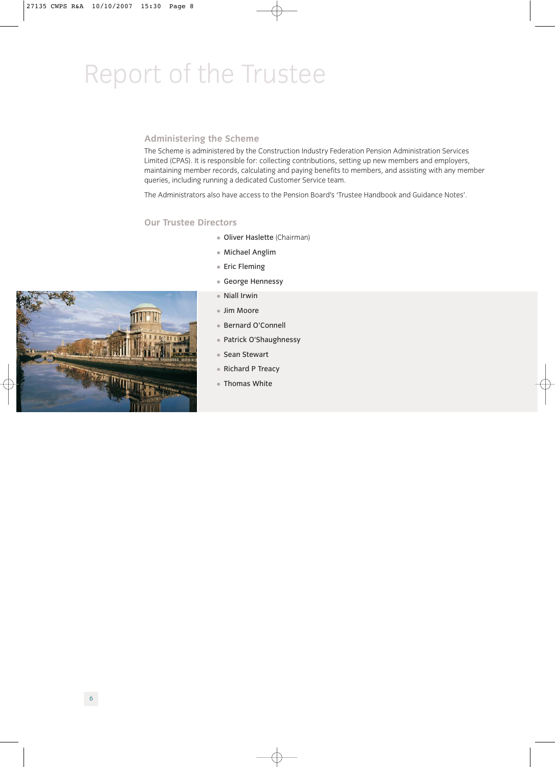### **Administering the Scheme**

The Scheme is administered by the Construction Industry Federation Pension Administration Services Limited (CPAS). It is responsible for: collecting contributions, setting up new members and employers, maintaining member records, calculating and paying benefits to members, and assisting with any member queries, including running a dedicated Customer Service team.

The Administrators also have access to the Pension Board's 'Trustee Handbook and Guidance Notes'.

### **Our Trustee Directors**

- Oliver Haslette (Chairman)
- Michael Anglim
- Eric Fleming
- George Hennessy
- Niall Irwin
- $\bullet\,$  Jim Moore
- Bernard O'Connell
- Patrick O'Shaughnessy
- Sean Stewart
- Richard P Treacy
- $\bullet$  Thomas White

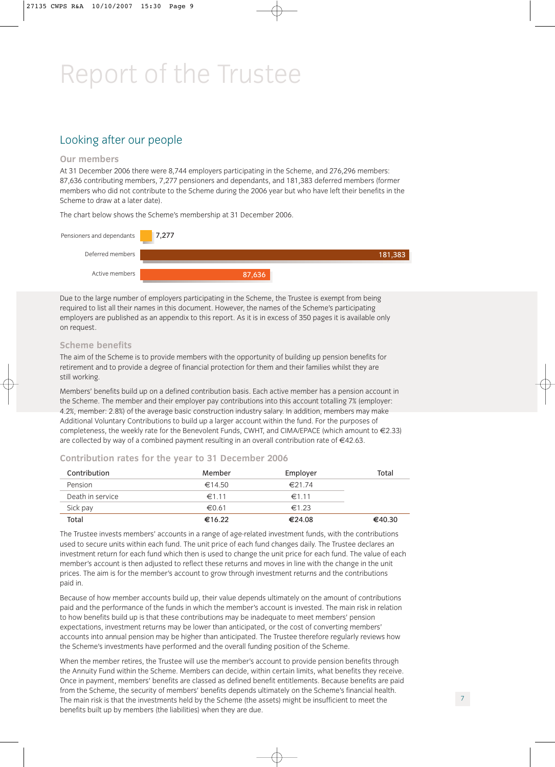# Looking after our people

### **Our members**

At 31 December 2006 there were 8,744 employers participating in the Scheme, and 276,296 members: 87,636 contributing members, 7,277 pensioners and dependants, and 181,383 deferred members (former members who did not contribute to the Scheme during the 2006 year but who have left their benefits in the Scheme to draw at a later date).

The chart below shows the Scheme's membership at 31 December 2006.



Due to the large number of employers participating in the Scheme, the Trustee is exempt from being required to list all their names in this document. However, the names of the Scheme's participating employers are published as an appendix to this report. As it is in excess of 350 pages it is available only on request.

### **Scheme benefits**

The aim of the Scheme is to provide members with the opportunity of building up pension benefits for retirement and to provide a degree of financial protection for them and their families whilst they are still working.

Members' benefits build up on a defined contribution basis. Each active member has a pension account in the Scheme. The member and their employer pay contributions into this account totalling 7% (employer: 4.2%, member: 2.8%) of the average basic construction industry salary. In addition, members may make Additional Voluntary Contributions to build up a larger account within the fund. For the purposes of completeness, the weekly rate for the Benevolent Funds, CWHT, and CIMA/EPACE (which amount to €2.33) are collected by way of a combined payment resulting in an overall contribution rate of €42.63.

#### **Contribution rates for the year to 31 December 2006**

| Contribution     | Member          | Employer       | Total  |
|------------------|-----------------|----------------|--------|
| Pension          | €14,50          | €2174          |        |
| Death in service | $\epsilon$ 1.11 | $\epsilon$ 11  |        |
| Sick pay         | $\epsilon$ 61   | $\epsilon$ 123 |        |
| Total            | €16.22          | €24.08         | €40.30 |

The Trustee invests members' accounts in a range of age-related investment funds, with the contributions used to secure units within each fund. The unit price of each fund changes daily. The Trustee declares an investment return for each fund which then is used to change the unit price for each fund. The value of each member's account is then adjusted to reflect these returns and moves in line with the change in the unit prices. The aim is for the member's account to grow through investment returns and the contributions paid in.

Because of how member accounts build up, their value depends ultimately on the amount of contributions paid and the performance of the funds in which the member's account is invested. The main risk in relation to how benefits build up is that these contributions may be inadequate to meet members' pension expectations, investment returns may be lower than anticipated, or the cost of converting members' accounts into annual pension may be higher than anticipated. The Trustee therefore regularly reviews how the Scheme's investments have performed and the overall funding position of the Scheme.

When the member retires, the Trustee will use the member's account to provide pension benefits through the Annuity Fund within the Scheme. Members can decide, within certain limits, what benefits they receive. Once in payment, members' benefits are classed as defined benefit entitlements. Because benefits are paid from the Scheme, the security of members' benefits depends ultimately on the Scheme's financial health. The main risk is that the investments held by the Scheme (the assets) might be insufficient to meet the benefits built up by members (the liabilities) when they are due.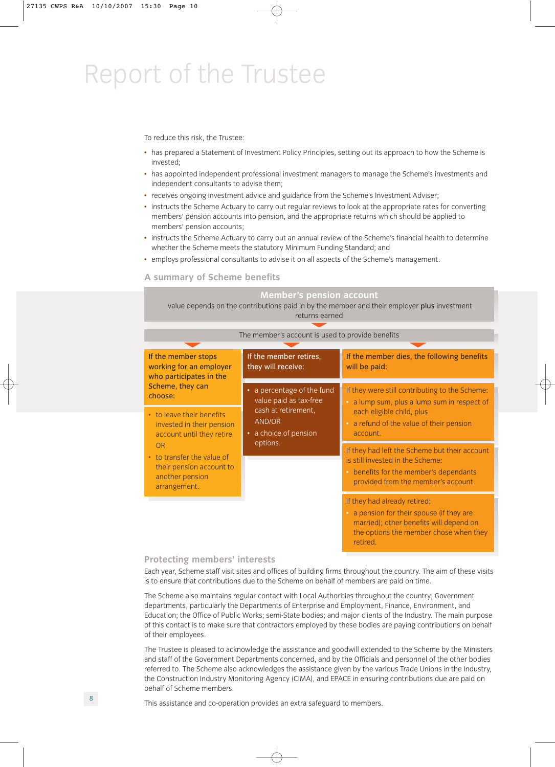To reduce this risk, the Trustee:

- has prepared a Statement of Investment Policy Principles, setting out its approach to how the Scheme is invested;
- has appointed independent professional investment managers to manage the Scheme's investments and independent consultants to advise them;
- receives ongoing investment advice and guidance from the Scheme's Investment Adviser;
- instructs the Scheme Actuary to carry out regular reviews to look at the appropriate rates for converting members' pension accounts into pension, and the appropriate returns which should be applied to members' pension accounts;
- instructs the Scheme Actuary to carry out an annual review of the Scheme's financial health to determine whether the Scheme meets the statutory Minimum Funding Standard; and
- employs professional consultants to advise it on all aspects of the Scheme's management.

#### **A summary of Scheme benefits**



#### **Protecting members' interests**

Each year, Scheme staff visit sites and offices of building firms throughout the country. The aim of these visits is to ensure that contributions due to the Scheme on behalf of members are paid on time.

The Scheme also maintains regular contact with Local Authorities throughout the country; Government departments, particularly the Departments of Enterprise and Employment, Finance, Environment, and Education; the Office of Public Works; semi-State bodies; and major clients of the Industry. The main purpose of this contact is to make sure that contractors employed by these bodies are paying contributions on behalf of their employees.

The Trustee is pleased to acknowledge the assistance and goodwill extended to the Scheme by the Ministers and staff of the Government Departments concerned, and by the Officials and personnel of the other bodies referred to. The Scheme also acknowledges the assistance given by the various Trade Unions in the Industry, the Construction Industry Monitoring Agency (CIMA), and EPACE in ensuring contributions due are paid on behalf of Scheme members.

This assistance and co-operation provides an extra safeguard to members.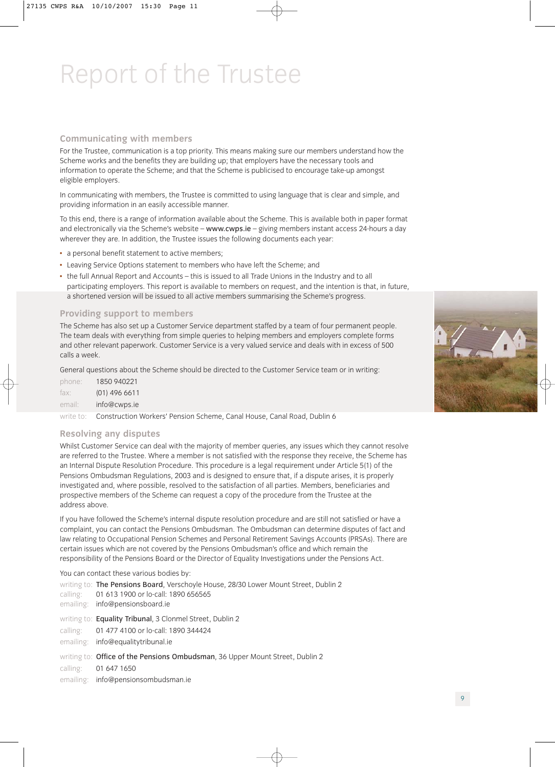### **Communicating with members**

For the Trustee, communication is a top priority. This means making sure our members understand how the Scheme works and the benefits they are building up; that employers have the necessary tools and information to operate the Scheme; and that the Scheme is publicised to encourage take-up amongst eligible employers.

In communicating with members, the Trustee is committed to using language that is clear and simple, and providing information in an easily accessible manner.

To this end, there is a range of information available about the Scheme. This is available both in paper format and electronically via the Scheme's website – www.cwps.ie – giving members instant access 24-hours a day wherever they are. In addition, the Trustee issues the following documents each year:

- a personal benefit statement to active members;
- Leaving Service Options statement to members who have left the Scheme; and
- the full Annual Report and Accounts this is issued to all Trade Unions in the Industry and to all participating employers. This report is available to members on request, and the intention is that, in future, a shortened version will be issued to all active members summarising the Scheme's progress.

#### **Providing support to members**

The Scheme has also set up a Customer Service department staffed by a team of four permanent people. The team deals with everything from simple queries to helping members and employers complete forms and other relevant paperwork. Customer Service is a very valued service and deals with in excess of 500 calls a week.

General questions about the Scheme should be directed to the Customer Service team or in writing:

| phone: | 1850 940221     |
|--------|-----------------|
| fax:   | $(01)$ 496 6611 |
| email: | info@cwps.ie    |

write to: Construction Workers' Pension Scheme, Canal House, Canal Road, Dublin 6

### **Resolving any disputes**

Whilst Customer Service can deal with the majority of member queries, any issues which they cannot resolve are referred to the Trustee. Where a member is not satisfied with the response they receive, the Scheme has an Internal Dispute Resolution Procedure. This procedure is a legal requirement under Article 5(1) of the Pensions Ombudsman Regulations, 2003 and is designed to ensure that, if a dispute arises, it is properly investigated and, where possible, resolved to the satisfaction of all parties. Members, beneficiaries and prospective members of the Scheme can request a copy of the procedure from the Trustee at the address above.

If you have followed the Scheme's internal dispute resolution procedure and are still not satisfied or have a complaint, you can contact the Pensions Ombudsman. The Ombudsman can determine disputes of fact and law relating to Occupational Pension Schemes and Personal Retirement Savings Accounts (PRSAs). There are certain issues which are not covered by the Pensions Ombudsman's office and which remain the responsibility of the Pensions Board or the Director of Equality Investigations under the Pensions Act.

You can contact these various bodies by:

writing to: The Pensions Board, Verschoyle House, 28/30 Lower Mount Street, Dublin 2 calling: 01 613 1900 or lo-call: 1890 656565 emailing: info@pensionsboard.ie writing to: Equality Tribunal, 3 Clonmel Street, Dublin 2 calling: 01 477 4100 or lo-call: 1890 344424 emailing: info@equalitytribunal.ie writing to: Office of the Pensions Ombudsman, 36 Upper Mount Street, Dublin 2 calling: 01 647 1650 emailing: info@pensionsombudsman.ie

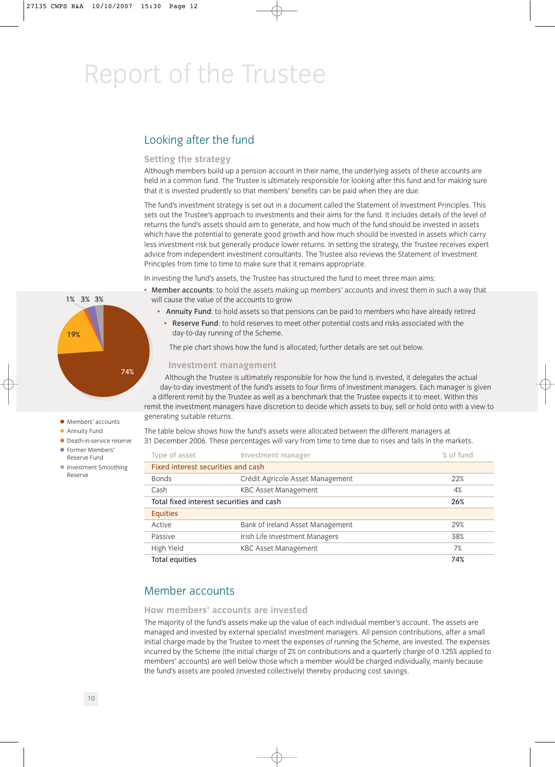# Looking after the fund

### **Setting the strategy**

Although members build up a pension account in their name, the underlying assets of these accounts are held in a common fund. The Trustee is ultimately responsible for looking after this fund and for making sure that it is invested prudently so that members' benefits can be paid when they are due.

The fund's investment strategy is set out in a document called the Statement of Investment Principles. This sets out the Trustee's approach to investments and their aims for the fund. It includes details of the level of returns the fund's assets should aim to generate, and how much of the fund should be invested in assets which have the potential to generate good growth and how much should be invested in assets which carry less investment risk but generally produce lower returns. In setting the strategy, the Trustee receives expert advice from independent investment consultants. The Trustee also reviews the Statement of Investment Principles from time to time to make sure that it remains appropriate.

In investing the fund's assets, the Trustee has structured the fund to meet three main aims:

- Member accounts: to hold the assets making up members' accounts and invest them in such a way that will cause the value of the accounts to grow
	- Annuity Fund: to hold assets so that pensions can be paid to members who have already retired
	- Reserve Fund: to hold reserves to meet other potential costs and risks associated with the day-to-day running of the Scheme.

The pie chart shows how the fund is allocated; further details are set out below.

#### **Investment management**

Although the Trustee is ultimately responsible for how the fund is invested, it delegates the actual day-to-day investment of the fund's assets to four firms of investment managers. Each manager is given a different remit by the Trustee as well as a benchmark that the Trustee expects it to meet. Within this remit the investment managers have discretion to decide which assets to buy, sell or hold onto with a view to generating suitable returns.

The table below shows how the fund's assets were allocated between the different managers at 31 December 2006. These percentages will vary from time to time due to rises and falls in the markets.

| Type of asset                            | Investment manager               | % of fund |  |
|------------------------------------------|----------------------------------|-----------|--|
| Fixed interest securities and cash       |                                  |           |  |
| <b>Bonds</b>                             | Crédit Agricole Asset Management | 22%       |  |
| Cash                                     | <b>KBC Asset Management</b>      | 4%        |  |
| Total fixed interest securities and cash |                                  | 26%       |  |
| <b>Equities</b>                          |                                  |           |  |
| Active                                   | Bank of Ireland Asset Management | 29%       |  |
| Passive                                  | Irish Life Investment Managers   | 38%       |  |
| High Yield                               | <b>KBC Asset Management</b>      | 7%        |  |
| <b>Total equities</b>                    |                                  | 74%       |  |

# Member accounts

### **How members' accounts are invested**

The majority of the fund's assets make up the value of each individual member's account. The assets are managed and invested by external specialist investment managers. All pension contributions, after a small initial charge made by the Trustee to meet the expenses of running the Scheme, are invested. The expenses incurred by the Scheme (the initial charge of 2% on contributions and a quarterly charge of 0.125% applied to members' accounts) are well below those which a member would be charged individually, mainly because the fund's assets are pooled (invested collectively) thereby producing cost savings.



- Members' accounts
- **Annuity Fund**
- **•** Death-in-service reserve
- Former Members' Reserve Fund
- $\bullet$  Investment Smoothing Reserve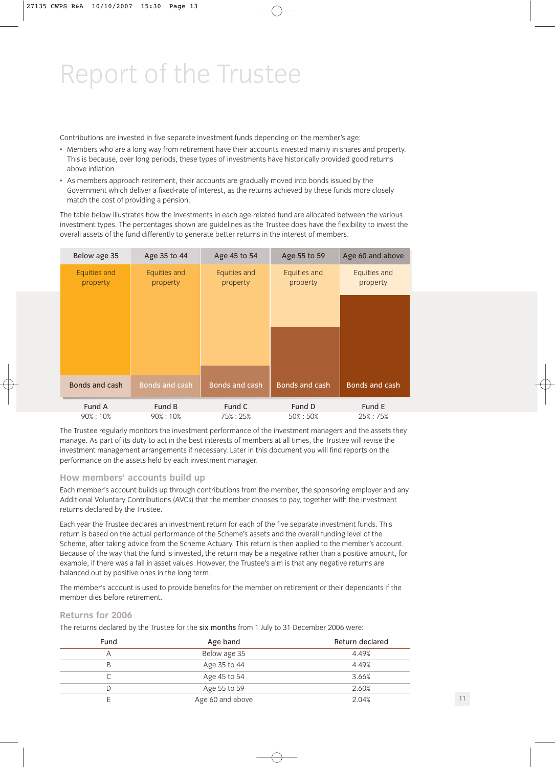Contributions are invested in five separate investment funds depending on the member's age:

- Members who are a long way from retirement have their accounts invested mainly in shares and property. This is because, over long periods, these types of investments have historically provided good returns above inflation.
- As members approach retirement, their accounts are gradually moved into bonds issued by the Government which deliver a fixed-rate of interest, as the returns achieved by these funds more closely match the cost of providing a pension.

The table below illustrates how the investments in each age-related fund are allocated between the various investment types. The percentages shown are guidelines as the Trustee does have the flexibility to invest the overall assets of the fund differently to generate better returns in the interest of members.

| Below age 35                    | Age 35 to 44             | Age 45 to 54             | Age 55 to 59             | Age 60 and above         |  |
|---------------------------------|--------------------------|--------------------------|--------------------------|--------------------------|--|
| <b>Equities and</b><br>property | Equities and<br>property | Equities and<br>property | Equities and<br>property | Equities and<br>property |  |
|                                 |                          |                          |                          |                          |  |
| Bonds and cash                  | <b>Bonds and cash</b>    | <b>Bonds and cash</b>    | <b>Bonds and cash</b>    | <b>Bonds and cash</b>    |  |
| Fund A                          | Fund B                   | Fund C                   | Fund D                   | Fund E                   |  |
| $90\% : 10\%$                   | $90\% : 10\%$            | 75% : 25%                | 50% : 50%                | 25% : 75%                |  |

The Trustee regularly monitors the investment performance of the investment managers and the assets they manage. As part of its duty to act in the best interests of members at all times, the Trustee will revise the investment management arrangements if necessary. Later in this document you will find reports on the performance on the assets held by each investment manager.

### **How members' accounts build up**

Each member's account builds up through contributions from the member, the sponsoring employer and any Additional Voluntary Contributions (AVCs) that the member chooses to pay, together with the investment returns declared by the Trustee.

Each year the Trustee declares an investment return for each of the five separate investment funds. This return is based on the actual performance of the Scheme's assets and the overall funding level of the Scheme, after taking advice from the Scheme Actuary. This return is then applied to the member's account. Because of the way that the fund is invested, the return may be a negative rather than a positive amount, for example, if there was a fall in asset values. However, the Trustee's aim is that any negative returns are balanced out by positive ones in the long term.

The member's account is used to provide benefits for the member on retirement or their dependants if the member dies before retirement.

### **Returns for 2006**

The returns declared by the Trustee for the six months from 1 July to 31 December 2006 were:

| Fund | Age band         | Return declared |
|------|------------------|-----------------|
| Α    | Below age 35     | 4.49%           |
| Β    | Age 35 to 44     | 4.49%           |
|      | Age 45 to 54     | 3.66%           |
| D    | Age 55 to 59     | 2.60%           |
|      | Age 60 and above | 2.04%           |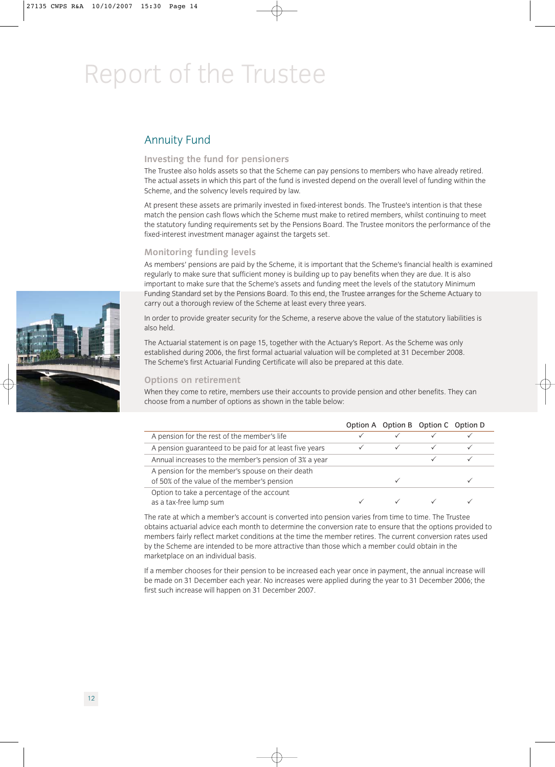# Annuity Fund

### **Investing the fund for pensioners**

The Trustee also holds assets so that the Scheme can pay pensions to members who have already retired. The actual assets in which this part of the fund is invested depend on the overall level of funding within the Scheme, and the solvency levels required by law.

At present these assets are primarily invested in fixed-interest bonds. The Trustee's intention is that these match the pension cash flows which the Scheme must make to retired members, whilst continuing to meet the statutory funding requirements set by the Pensions Board. The Trustee monitors the performance of the fixed-interest investment manager against the targets set.

### **Monitoring funding levels**

As members' pensions are paid by the Scheme, it is important that the Scheme's financial health is examined regularly to make sure that sufficient money is building up to pay benefits when they are due. It is also important to make sure that the Scheme's assets and funding meet the levels of the statutory Minimum Funding Standard set by the Pensions Board. To this end, the Trustee arranges for the Scheme Actuary to carry out a thorough review of the Scheme at least every three years.

In order to provide greater security for the Scheme, a reserve above the value of the statutory liabilities is also held.

The Actuarial statement is on page 15, together with the Actuary's Report. As the Scheme was only established during 2006, the first formal actuarial valuation will be completed at 31 December 2008. The Scheme's first Actuarial Funding Certificate will also be prepared at this date.

### **Options on retirement**

When they come to retire, members use their accounts to provide pension and other benefits. They can choose from a number of options as shown in the table below:

|                                                                                                 | Option A Option B Option C Option D |  |  |
|-------------------------------------------------------------------------------------------------|-------------------------------------|--|--|
| A pension for the rest of the member's life                                                     |                                     |  |  |
| A pension guaranteed to be paid for at least five years                                         |                                     |  |  |
| Annual increases to the member's pension of 3% a year                                           |                                     |  |  |
| A pension for the member's spouse on their death<br>of 50% of the value of the member's pension |                                     |  |  |
| Option to take a percentage of the account<br>as a tax-free lump sum                            |                                     |  |  |

The rate at which a member's account is converted into pension varies from time to time. The Trustee obtains actuarial advice each month to determine the conversion rate to ensure that the options provided to members fairly reflect market conditions at the time the member retires. The current conversion rates used by the Scheme are intended to be more attractive than those which a member could obtain in the marketplace on an individual basis.

If a member chooses for their pension to be increased each year once in payment, the annual increase will be made on 31 December each year. No increases were applied during the year to 31 December 2006; the first such increase will happen on 31 December 2007.

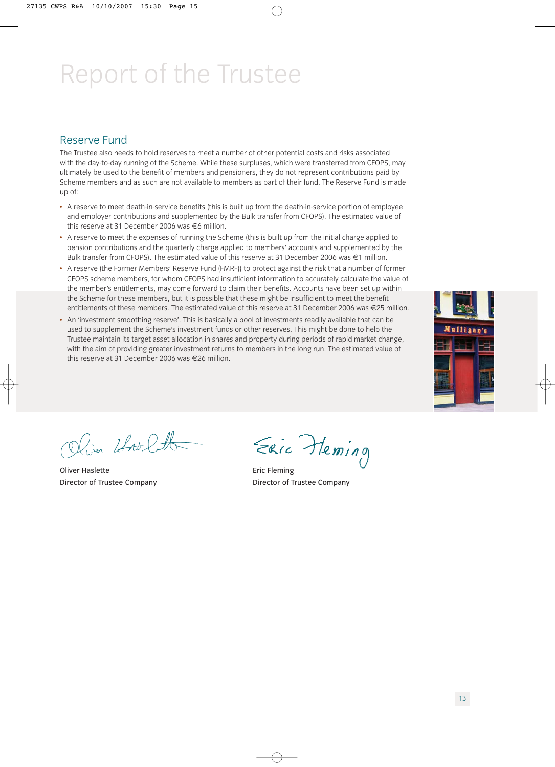# Reserve Fund

The Trustee also needs to hold reserves to meet a number of other potential costs and risks associated with the day-to-day running of the Scheme. While these surpluses, which were transferred from CFOPS, may ultimately be used to the benefit of members and pensioners, they do not represent contributions paid by Scheme members and as such are not available to members as part of their fund. The Reserve Fund is made up of:

- A reserve to meet death-in-service benefits (this is built up from the death-in-service portion of employee and employer contributions and supplemented by the Bulk transfer from CFOPS). The estimated value of this reserve at 31 December 2006 was €6 million.
- A reserve to meet the expenses of running the Scheme (this is built up from the initial charge applied to pension contributions and the quarterly charge applied to members' accounts and supplemented by the Bulk transfer from CFOPS). The estimated value of this reserve at 31 December 2006 was €1 million.
- A reserve (the Former Members' Reserve Fund (FMRF)) to protect against the risk that a number of former CFOPS scheme members, for whom CFOPS had insufficient information to accurately calculate the value of the member's entitlements, may come forward to claim their benefits. Accounts have been set up within the Scheme for these members, but it is possible that these might be insufficient to meet the benefit entitlements of these members. The estimated value of this reserve at 31 December 2006 was €25 million.
- An 'investment smoothing reserve'. This is basically a pool of investments readily available that can be used to supplement the Scheme's investment funds or other reserves. This might be done to help the Trustee maintain its target asset allocation in shares and property during periods of rapid market change, with the aim of providing greater investment returns to members in the long run. The estimated value of this reserve at 31 December 2006 was €26 million.



Olin HAS ltb

Oliver Haslette **Example 2018** Eric Fleming

Eric Fleming

Director of Trustee Company Director of Trustee Company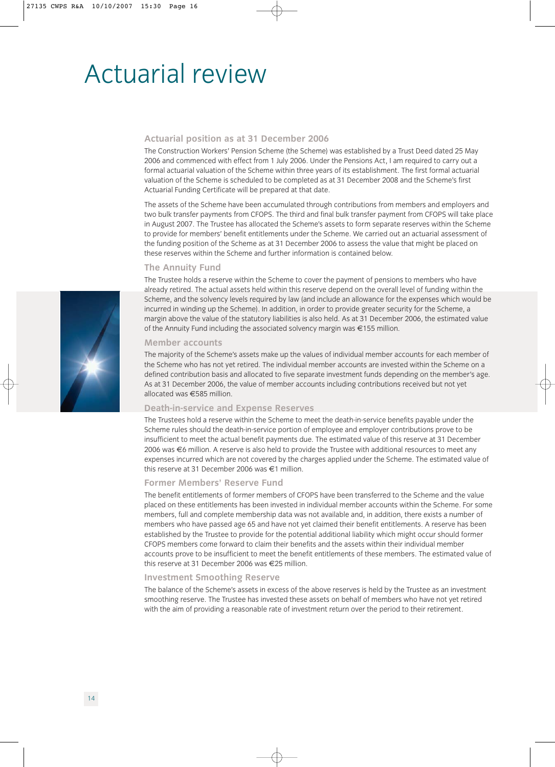# Actuarial review

### **Actuarial position as at 31 December 2006**

The Construction Workers' Pension Scheme (the Scheme) was established by a Trust Deed dated 25 May 2006 and commenced with effect from 1 July 2006. Under the Pensions Act, I am required to carry out a formal actuarial valuation of the Scheme within three years of its establishment. The first formal actuarial valuation of the Scheme is scheduled to be completed as at 31 December 2008 and the Scheme's first Actuarial Funding Certificate will be prepared at that date.

The assets of the Scheme have been accumulated through contributions from members and employers and two bulk transfer payments from CFOPS. The third and final bulk transfer payment from CFOPS will take place in August 2007. The Trustee has allocated the Scheme's assets to form separate reserves within the Scheme to provide for members' benefit entitlements under the Scheme. We carried out an actuarial assessment of the funding position of the Scheme as at 31 December 2006 to assess the value that might be placed on these reserves within the Scheme and further information is contained below.

#### **The Annuity Fund**

The Trustee holds a reserve within the Scheme to cover the payment of pensions to members who have already retired. The actual assets held within this reserve depend on the overall level of funding within the Scheme, and the solvency levels required by law (and include an allowance for the expenses which would be incurred in winding up the Scheme). In addition, in order to provide greater security for the Scheme, a margin above the value of the statutory liabilities is also held. As at 31 December 2006, the estimated value of the Annuity Fund including the associated solvency margin was €155 million.

#### **Member accounts**

The majority of the Scheme's assets make up the values of individual member accounts for each member of the Scheme who has not yet retired. The individual member accounts are invested within the Scheme on a defined contribution basis and allocated to five separate investment funds depending on the member's age. As at 31 December 2006, the value of member accounts including contributions received but not yet allocated was €585 million.

### **Death-in-service and Expense Reserves**

The Trustees hold a reserve within the Scheme to meet the death-in-service benefits payable under the Scheme rules should the death-in-service portion of employee and employer contributions prove to be insufficient to meet the actual benefit payments due. The estimated value of this reserve at 31 December 2006 was €6 million. A reserve is also held to provide the Trustee with additional resources to meet any expenses incurred which are not covered by the charges applied under the Scheme. The estimated value of this reserve at 31 December 2006 was €1 million.

#### **Former Members' Reserve Fund**

The benefit entitlements of former members of CFOPS have been transferred to the Scheme and the value placed on these entitlements has been invested in individual member accounts within the Scheme. For some members, full and complete membership data was not available and, in addition, there exists a number of members who have passed age 65 and have not yet claimed their benefit entitlements. A reserve has been established by the Trustee to provide for the potential additional liability which might occur should former CFOPS members come forward to claim their benefits and the assets within their individual member accounts prove to be insufficient to meet the benefit entitlements of these members. The estimated value of this reserve at 31 December 2006 was €25 million.

#### **Investment Smoothing Reserve**

The balance of the Scheme's assets in excess of the above reserves is held by the Trustee as an investment smoothing reserve. The Trustee has invested these assets on behalf of members who have not yet retired with the aim of providing a reasonable rate of investment return over the period to their retirement.

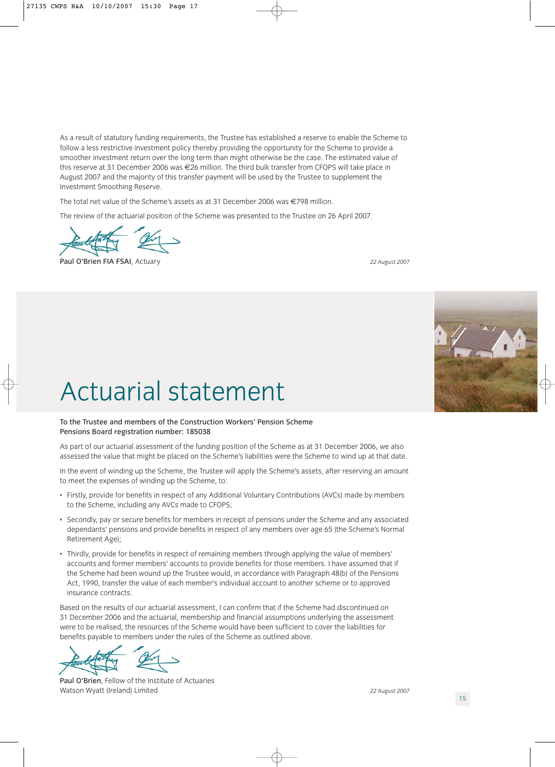As a result of statutory funding requirements, the Trustee has established a reserve to enable the Scheme to follow a less restrictive investment policy thereby providing the opportunity for the Scheme to provide a smoother investment return over the long term than might otherwise be the case. The estimated value of this reserve at 31 December 2006 was €26 million. The third bulk transfer from CFOPS will take place in August 2007 and the majority of this transfer payment will be used by the Trustee to supplement the Investment Smoothing Reserve.

The total net value of the Scheme's assets as at 31 December 2006 was €798 million.

The review of the actuarial position of the Scheme was presented to the Trustee on 26 April 2007.

Paul O'Brien FIA FSAI, Actuary *22 August 2007*



# Actuarial statement

### To the Trustee and members of the Construction Workers' Pension Scheme Pensions Board registration number: 185038

As part of our actuarial assessment of the funding position of the Scheme as at 31 December 2006, we also assessed the value that might be placed on the Scheme's liabilities were the Scheme to wind up at that date.

In the event of winding up the Scheme, the Trustee will apply the Scheme's assets, after reserving an amount to meet the expenses of winding up the Scheme, to:

- Firstly, provide for benefits in respect of any Additional Voluntary Contributions (AVCs) made by members to the Scheme, including any AVCs made to CFOPS;
- Secondly, pay or secure benefits for members in receipt of pensions under the Scheme and any associated dependants' pensions and provide benefits in respect of any members over age 65 (the Scheme's Normal Retirement Age);
- Thirdly, provide for benefits in respect of remaining members through applying the value of members' accounts and former members' accounts to provide benefits for those members. I have assumed that if the Scheme had been wound up the Trustee would, in accordance with Paragraph 48(b) of the Pensions Act, 1990, transfer the value of each member's individual account to another scheme or to approved insurance contracts.

Based on the results of our actuarial assessment, I can confirm that if the Scheme had discontinued on 31 December 2006 and the actuarial, membership and financial assumptions underlying the assessment were to be realised, the resources of the Scheme would have been sufficient to cover the liabilities for benefits payable to members under the rules of the Scheme as outlined above.

Paul O'Brien, Fellow of the Institute of Actuaries Watson Wyatt (Ireland) Limited *22 August 2007*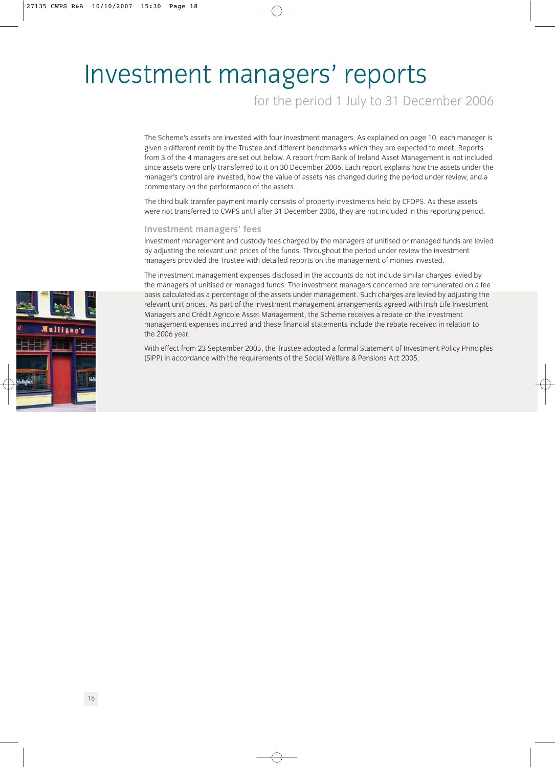# Investment managers' reports

for the period 1 July to 31 December 2006

The Scheme's assets are invested with four investment managers. As explained on page 10, each manager is given a different remit by the Trustee and different benchmarks which they are expected to meet. Reports from 3 of the 4 managers are set out below. A report from Bank of Ireland Asset Management is not included since assets were only transferred to it on 30 December 2006. Each report explains how the assets under the manager's control are invested, how the value of assets has changed during the period under review, and a commentary on the performance of the assets.

The third bulk transfer payment mainly consists of property investments held by CFOPS. As these assets were not transferred to CWPS until after 31 December 2006, they are not included in this reporting period.

#### **Investment managers' fees**

Investment management and custody fees charged by the managers of unitised or managed funds are levied by adjusting the relevant unit prices of the funds. Throughout the period under review the investment managers provided the Trustee with detailed reports on the management of monies invested.

The investment management expenses disclosed in the accounts do not include similar charges levied by the managers of unitised or managed funds. The investment managers concerned are remunerated on a fee basis calculated as a percentage of the assets under management. Such charges are levied by adjusting the relevant unit prices. As part of the investment management arrangements agreed with Irish Life Investment Managers and Crédit Agricole Asset Management, the Scheme receives a rebate on the investment management expenses incurred and these financial statements include the rebate received in relation to the 2006 year.

With effect from 23 September 2005, the Trustee adopted a formal Statement of Investment Policy Principles (SIPP) in accordance with the requirements of the Social Welfare & Pensions Act 2005.



16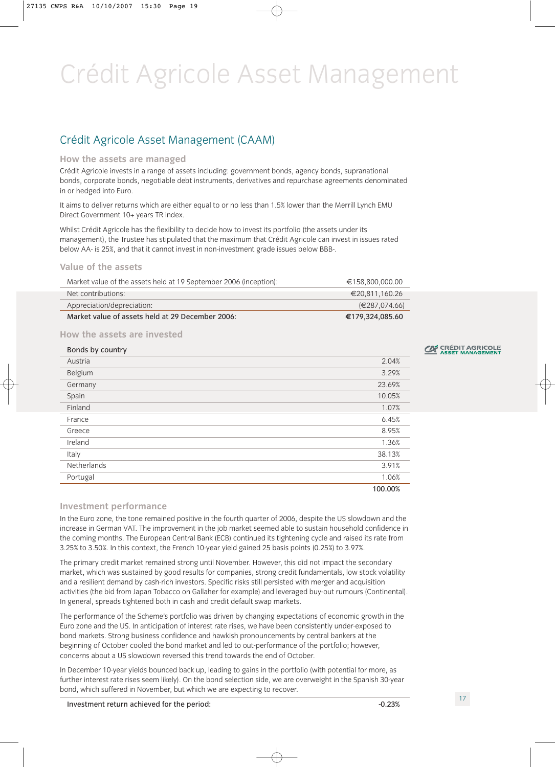# Crédit Agricole Asset Management

# Crédit Agricole Asset Management (CAAM)

#### **How the assets are managed**

Crédit Agricole invests in a range of assets including: government bonds, agency bonds, supranational bonds, corporate bonds, negotiable debt instruments, derivatives and repurchase agreements denominated in or hedged into Euro.

It aims to deliver returns which are either equal to or no less than 1.5% lower than the Merrill Lynch EMU Direct Government 10+ years TR index.

Whilst Crédit Agricole has the flexibility to decide how to invest its portfolio (the assets under its management), the Trustee has stipulated that the maximum that Crédit Agricole can invest in issues rated below AA- is 25%, and that it cannot invest in non-investment grade issues below BBB-.

### **Value of the assets**

| Market value of the assets held at 19 September 2006 (inception): | €158.800.000.00 |
|-------------------------------------------------------------------|-----------------|
| Net contributions:                                                | €20.811.160.26  |
| Appreciation/depreciation:                                        | (E287.074.66)   |
| Market value of assets held at 29 December 2006:                  | €179.324.085.60 |

#### **How the assets are invested**

| Bonds by country |         |
|------------------|---------|
| Austria          | 2.04%   |
| Belgium          | 3.29%   |
| Germany          | 23.69%  |
| Spain            | 10.05%  |
| Finland          | 1.07%   |
| France           | 6.45%   |
| Greece           | 8.95%   |
| Ireland          | 1.36%   |
| Italy            | 38.13%  |
| Netherlands      | 3.91%   |
| Portugal         | 1.06%   |
|                  | 100.00% |

### **Investment performance**

In the Euro zone, the tone remained positive in the fourth quarter of 2006, despite the US slowdown and the increase in German VAT. The improvement in the job market seemed able to sustain household confidence in the coming months. The European Central Bank (ECB) continued its tightening cycle and raised its rate from 3.25% to 3.50%. In this context, the French 10-year yield gained 25 basis points (0.25%) to 3.97%.

The primary credit market remained strong until November. However, this did not impact the secondary market, which was sustained by good results for companies, strong credit fundamentals, low stock volatility and a resilient demand by cash-rich investors. Specific risks still persisted with merger and acquisition activities (the bid from Japan Tobacco on Gallaher for example) and leveraged buy-out rumours (Continental). In general, spreads tightened both in cash and credit default swap markets.

The performance of the Scheme's portfolio was driven by changing expectations of economic growth in the Euro zone and the US. In anticipation of interest rate rises, we have been consistently under-exposed to bond markets. Strong business confidence and hawkish pronouncements by central bankers at the beginning of October cooled the bond market and led to out-performance of the portfolio; however, concerns about a US slowdown reversed this trend towards the end of October.

In December 10-year yields bounced back up, leading to gains in the portfolio (with potential for more, as further interest rate rises seem likely). On the bond selection side, we are overweight in the Spanish 30-year bond, which suffered in November, but which we are expecting to recover.

Investment return achieved for the period:  $-0.23\%$ 

### **COM** CRÉDIT AGRICOLE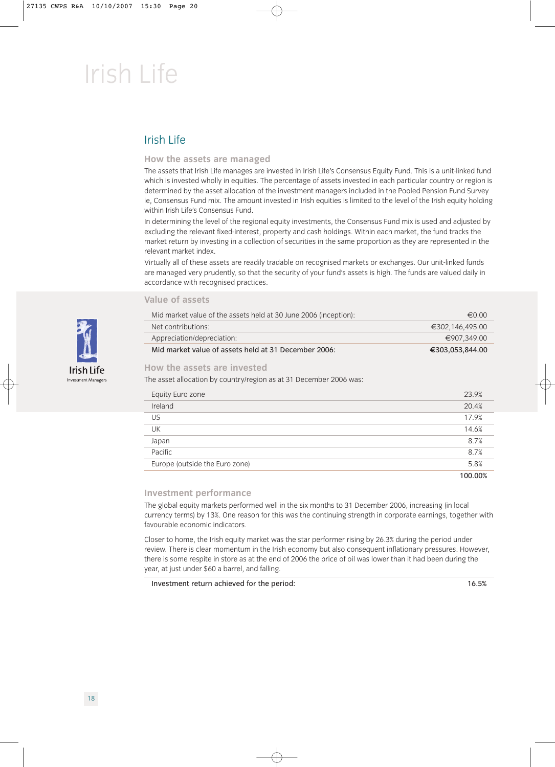# Irish Life

# Irish Life

### **How the assets are managed**

The assets that Irish Life manages are invested in Irish Life's Consensus Equity Fund. This is a unit-linked fund which is invested wholly in equities. The percentage of assets invested in each particular country or region is determined by the asset allocation of the investment managers included in the Pooled Pension Fund Survey ie, Consensus Fund mix. The amount invested in Irish equities is limited to the level of the Irish equity holding within Irish Life's Consensus Fund.

In determining the level of the regional equity investments, the Consensus Fund mix is used and adjusted by excluding the relevant fixed-interest, property and cash holdings. Within each market, the fund tracks the market return by investing in a collection of securities in the same proportion as they are represented in the relevant market index.

Virtually all of these assets are readily tradable on recognised markets or exchanges. Our unit-linked funds are managed very prudently, so that the security of your fund's assets is high. The funds are valued daily in accordance with recognised practices.

#### **Value of assets**

| Mid market value of the assets held at 30 June 2006 (inception):                                  | € $0.00$        |
|---------------------------------------------------------------------------------------------------|-----------------|
| Net contributions:                                                                                | €302,146,495.00 |
| Appreciation/depreciation:                                                                        | €907,349.00     |
| Mid market value of assets held at 31 December 2006:                                              | €303,053,844.00 |
| How the assets are invested<br>The asset allocation by country/region as at 31 December 2006 was: |                 |
| Equity Euro zone                                                                                  | 23.9%           |
| Ireland                                                                                           | 20.4%           |
| US                                                                                                | 17.9%           |
| UK                                                                                                | 14.6%           |
| Japan                                                                                             | 8.7%            |
| Pacific                                                                                           | 8.7%            |
| Europe (outside the Euro zone)                                                                    | 5.8%            |

#### **Investment performance**

The global equity markets performed well in the six months to 31 December 2006, increasing (in local currency terms) by 13%. One reason for this was the continuing strength in corporate earnings, together with favourable economic indicators.

Closer to home, the Irish equity market was the star performer rising by 26.3% during the period under review. There is clear momentum in the Irish economy but also consequent inflationary pressures. However, there is some respite in store as at the end of 2006 the price of oil was lower than it had been during the year, at just under \$60 a barrel, and falling.

Investment return achieved for the period: 16.5%

100.00%

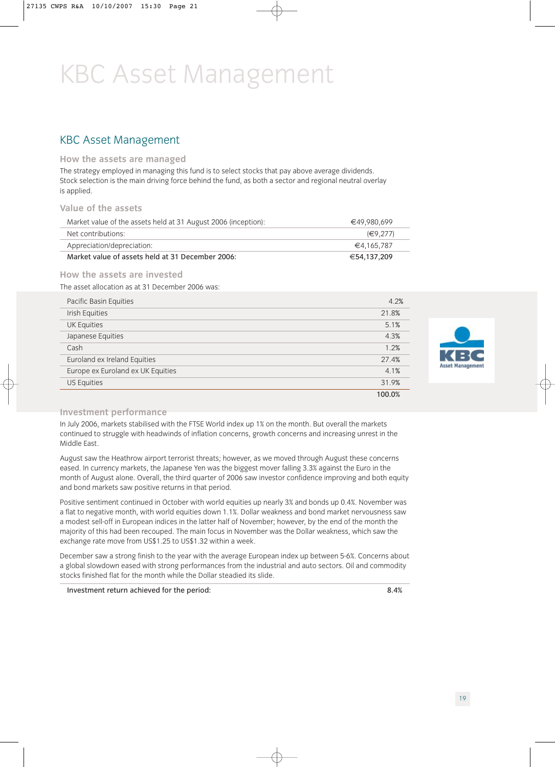# KBC Asset Management

# KBC Asset Management

### **How the assets are managed**

The strategy employed in managing this fund is to select stocks that pay above average dividends. Stock selection is the main driving force behind the fund, as both a sector and regional neutral overlay is applied.

**Value of the assets**

| Market value of the assets held at 31 August 2006 (inception): | €49.980.699   |
|----------------------------------------------------------------|---------------|
| Net contributions:                                             | $(\in 9.277)$ |
| Appreciation/depreciation:                                     | €4.165.787    |
| Market value of assets held at 31 December 2006:               | €54.137.209   |

### **How the assets are invested**

The asset allocation as at 31 December 2006 was:

| Pacific Basin Equities            | 4.2%   |
|-----------------------------------|--------|
| Irish Equities                    | 21.8%  |
| <b>UK Equities</b>                | 5.1%   |
| Japanese Equities                 | 4.3%   |
| Cash                              | 1.2%   |
| Euroland ex Ireland Equities      | 27.4%  |
| Europe ex Euroland ex UK Equities | 4.1%   |
| <b>US Equities</b>                | 31.9%  |
|                                   | 100.0% |



#### **Investment performance**

In July 2006, markets stabilised with the FTSE World index up 1% on the month. But overall the markets continued to struggle with headwinds of inflation concerns, growth concerns and increasing unrest in the Middle East.

August saw the Heathrow airport terrorist threats; however, as we moved through August these concerns eased. In currency markets, the Japanese Yen was the biggest mover falling 3.3% against the Euro in the month of August alone. Overall, the third quarter of 2006 saw investor confidence improving and both equity and bond markets saw positive returns in that period.

Positive sentiment continued in October with world equities up nearly 3% and bonds up 0.4%. November was a flat to negative month, with world equities down 1.1%. Dollar weakness and bond market nervousness saw a modest sell-off in European indices in the latter half of November; however, by the end of the month the majority of this had been recouped. The main focus in November was the Dollar weakness, which saw the exchange rate move from US\$1.25 to US\$1.32 within a week.

December saw a strong finish to the year with the average European index up between 5-6%. Concerns about a global slowdown eased with strong performances from the industrial and auto sectors. Oil and commodity stocks finished flat for the month while the Dollar steadied its slide.

Investment return achieved for the period: 8.4%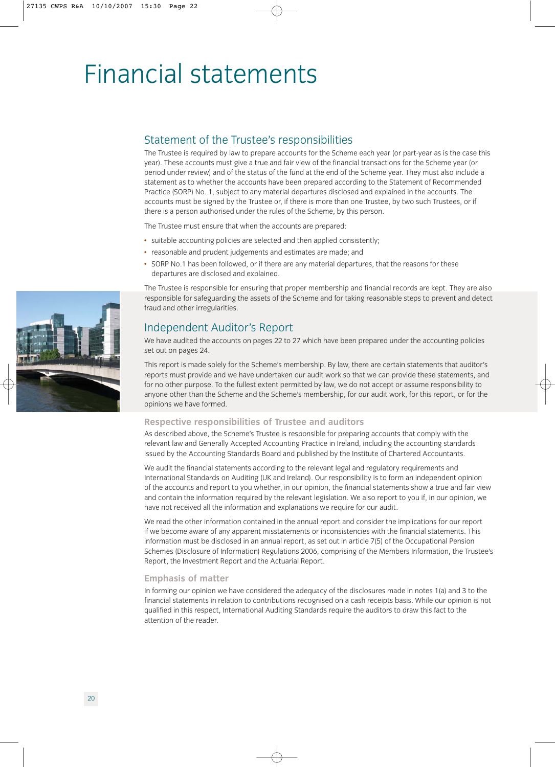# Financial statements

# Statement of the Trustee's responsibilities

The Trustee is required by law to prepare accounts for the Scheme each year (or part-year as is the case this year). These accounts must give a true and fair view of the financial transactions for the Scheme year (or period under review) and of the status of the fund at the end of the Scheme year. They must also include a statement as to whether the accounts have been prepared according to the Statement of Recommended Practice (SORP) No. 1, subject to any material departures disclosed and explained in the accounts. The accounts must be signed by the Trustee or, if there is more than one Trustee, by two such Trustees, or if there is a person authorised under the rules of the Scheme, by this person.

The Trustee must ensure that when the accounts are prepared:

- suitable accounting policies are selected and then applied consistently;
- reasonable and prudent judgements and estimates are made; and
- SORP No.1 has been followed, or if there are any material departures, that the reasons for these departures are disclosed and explained.

The Trustee is responsible for ensuring that proper membership and financial records are kept. They are also responsible for safeguarding the assets of the Scheme and for taking reasonable steps to prevent and detect fraud and other irregularities.

# Independent Auditor's Report

We have audited the accounts on pages 22 to 27 which have been prepared under the accounting policies set out on pages 24.

This report is made solely for the Scheme's membership. By law, there are certain statements that auditor's reports must provide and we have undertaken our audit work so that we can provide these statements, and for no other purpose. To the fullest extent permitted by law, we do not accept or assume responsibility to anyone other than the Scheme and the Scheme's membership, for our audit work, for this report, or for the opinions we have formed.

### **Respective responsibilities of Trustee and auditors**

As described above, the Scheme's Trustee is responsible for preparing accounts that comply with the relevant law and Generally Accepted Accounting Practice in Ireland, including the accounting standards issued by the Accounting Standards Board and published by the Institute of Chartered Accountants.

We audit the financial statements according to the relevant legal and regulatory requirements and International Standards on Auditing (UK and Ireland). Our responsibility is to form an independent opinion of the accounts and report to you whether, in our opinion, the financial statements show a true and fair view and contain the information required by the relevant legislation. We also report to you if, in our opinion, we have not received all the information and explanations we require for our audit.

We read the other information contained in the annual report and consider the implications for our report if we become aware of any apparent misstatements or inconsistencies with the financial statements. This information must be disclosed in an annual report, as set out in article 7(5) of the Occupational Pension Schemes (Disclosure of Information) Regulations 2006, comprising of the Members Information, the Trustee's Report, the Investment Report and the Actuarial Report.

#### **Emphasis of matter**

In forming our opinion we have considered the adequacy of the disclosures made in notes 1(a) and 3 to the financial statements in relation to contributions recognised on a cash receipts basis. While our opinion is not qualified in this respect, International Auditing Standards require the auditors to draw this fact to the attention of the reader.

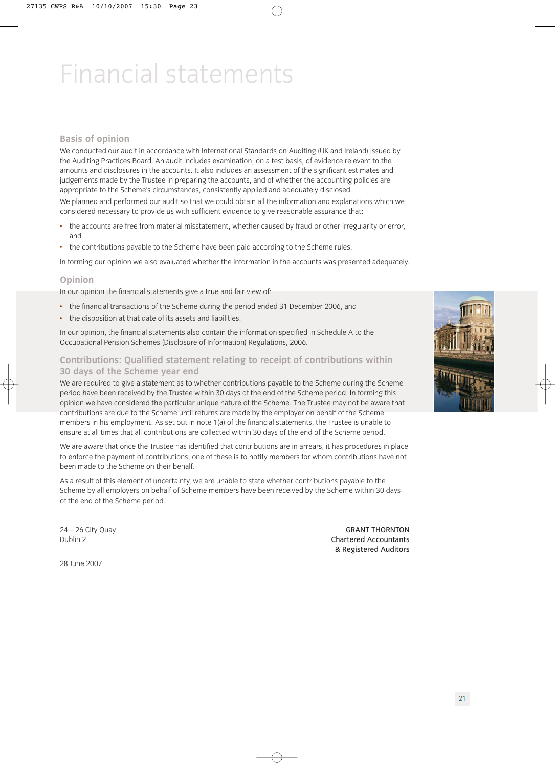# Financial statements

### **Basis of opinion**

We conducted our audit in accordance with International Standards on Auditing (UK and Ireland) issued by the Auditing Practices Board. An audit includes examination, on a test basis, of evidence relevant to the amounts and disclosures in the accounts. It also includes an assessment of the significant estimates and judgements made by the Trustee in preparing the accounts, and of whether the accounting policies are appropriate to the Scheme's circumstances, consistently applied and adequately disclosed. We planned and performed our audit so that we could obtain all the information and explanations which we considered necessary to provide us with sufficient evidence to give reasonable assurance that:

- the accounts are free from material misstatement, whether caused by fraud or other irregularity or error, and
- the contributions payable to the Scheme have been paid according to the Scheme rules.

In forming our opinion we also evaluated whether the information in the accounts was presented adequately.

#### **Opinion**

In our opinion the financial statements give a true and fair view of:

- the financial transactions of the Scheme during the period ended 31 December 2006, and
- the disposition at that date of its assets and liabilities.

In our opinion, the financial statements also contain the information specified in Schedule A to the Occupational Pension Schemes (Disclosure of Information) Regulations, 2006.

### **Contributions: Qualified statement relating to receipt of contributions within 30 days of the Scheme year end**

We are required to give a statement as to whether contributions payable to the Scheme during the Scheme period have been received by the Trustee within 30 days of the end of the Scheme period. In forming this opinion we have considered the particular unique nature of the Scheme. The Trustee may not be aware that contributions are due to the Scheme until returns are made by the employer on behalf of the Scheme members in his employment. As set out in note 1(a) of the financial statements, the Trustee is unable to ensure at all times that all contributions are collected within 30 days of the end of the Scheme period.

We are aware that once the Trustee has identified that contributions are in arrears, it has procedures in place to enforce the payment of contributions; one of these is to notify members for whom contributions have not been made to the Scheme on their behalf.

As a result of this element of uncertainty, we are unable to state whether contributions payable to the Scheme by all employers on behalf of Scheme members have been received by the Scheme within 30 days of the end of the Scheme period.

24 – 26 City Quay GRANT THORNTON Dublin 2 Chartered Accountants & Registered Auditors

28 June 2007

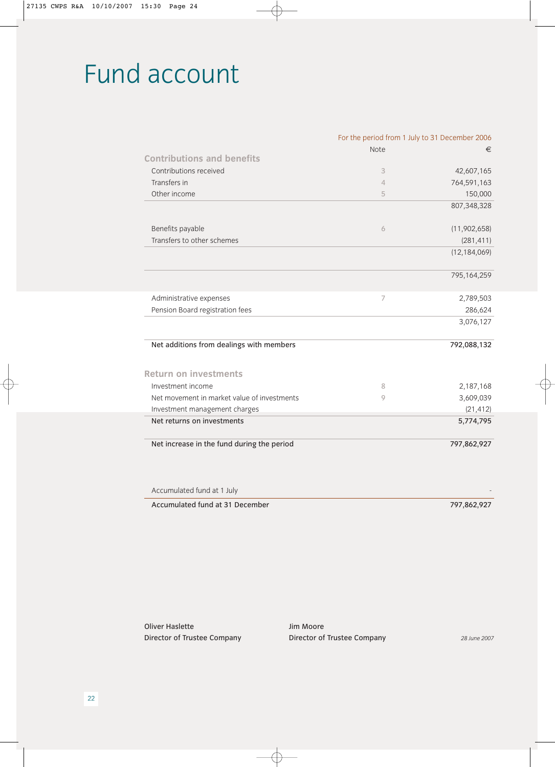# Fund account

| For the period from 1 July to 31 December 2006 |                |                |
|------------------------------------------------|----------------|----------------|
|                                                | Note           | €              |
| <b>Contributions and benefits</b>              |                |                |
| Contributions received                         | 3              | 42,607,165     |
| Transfers in                                   | $\overline{4}$ | 764,591,163    |
| Other income                                   | 5              | 150,000        |
|                                                |                | 807,348,328    |
| Benefits payable                               | 6              | (11,902,658)   |
| Transfers to other schemes                     |                | (281, 411)     |
|                                                |                | (12, 184, 069) |
|                                                |                | 795,164,259    |
| Administrative expenses                        | 7              | 2,789,503      |
| Pension Board registration fees                |                | 286,624        |
|                                                |                | 3,076,127      |
| Net additions from dealings with members       |                | 792,088,132    |
| <b>Return on investments</b>                   |                |                |
| Investment income                              | 8              | 2,187,168      |
| Net movement in market value of investments    | 9              | 3,609,039      |
| Investment management charges                  |                | (21, 412)      |
| Net returns on investments                     |                | 5,774,795      |
| Net increase in the fund during the period     |                | 797,862,927    |
|                                                |                |                |
| Accumulated fund at 1 July                     |                |                |
| Accumulated fund at 31 December                |                | 797,862,927    |

Oliver Haslette Jim Moore Director of Trustee Company Director of Trustee Company *28 June 2007*

ŧ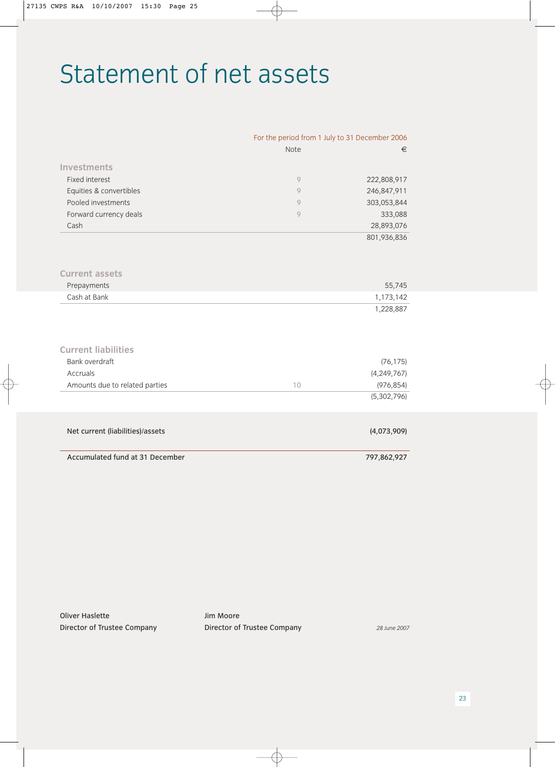# Statement of net assets

### For the period from 1 July to 31 December 2006

|                         | <b>Note</b> | €           |
|-------------------------|-------------|-------------|
| <b>Investments</b>      |             |             |
| Fixed interest          | 9           | 222,808,917 |
| Equities & convertibles | 9           | 246,847,911 |
| Pooled investments      | 9           | 303,053,844 |
| Forward currency deals  | 9           | 333,088     |
| Cash                    |             | 28,893,076  |
|                         |             | 801,936,836 |

| <b>Current assets</b> |           |
|-----------------------|-----------|
| Prepayments           | 55,745    |
| Cash at Bank          | 1,173,142 |
|                       | 1,228,887 |

## **Current liabilities**

| Bank overdraft                 |    | (76.175)      |
|--------------------------------|----|---------------|
| Accruals                       |    | (4, 249, 767) |
| Amounts due to related parties | 10 | (976.854)     |
|                                |    | (5,302,796)   |

| Net current (liabilities)/assets | (4,073,909) |  |
|----------------------------------|-------------|--|
|                                  |             |  |

Accumulated fund at 31 December 797,862,927

Oliver Haslette Jim Moore

Director of Trustee Company Director of Trustee Company *28 June 2007*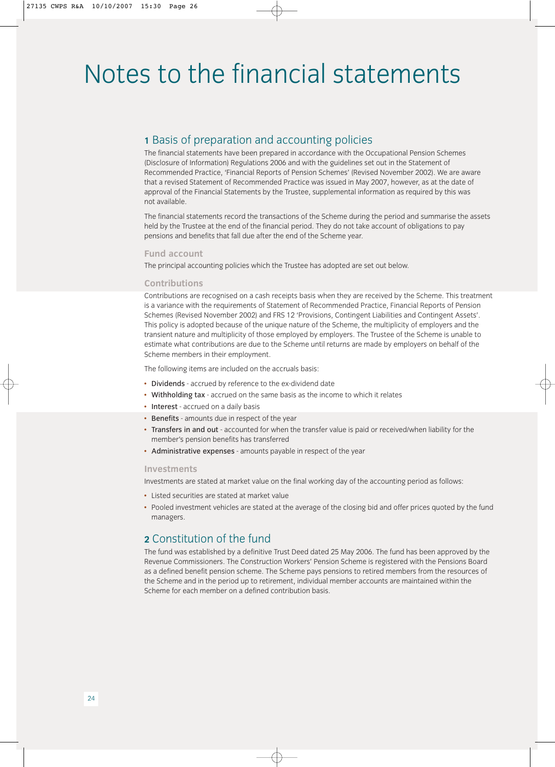# Notes to the financial statements

# **1** Basis of preparation and accounting policies

The financial statements have been prepared in accordance with the Occupational Pension Schemes (Disclosure of Information) Regulations 2006 and with the guidelines set out in the Statement of Recommended Practice, 'Financial Reports of Pension Schemes' (Revised November 2002). We are aware that a revised Statement of Recommended Practice was issued in May 2007, however, as at the date of approval of the Financial Statements by the Trustee, supplemental information as required by this was not available.

The financial statements record the transactions of the Scheme during the period and summarise the assets held by the Trustee at the end of the financial period. They do not take account of obligations to pay pensions and benefits that fall due after the end of the Scheme year.

#### **Fund account**

The principal accounting policies which the Trustee has adopted are set out below.

#### **Contributions**

Contributions are recognised on a cash receipts basis when they are received by the Scheme. This treatment is a variance with the requirements of Statement of Recommended Practice, Financial Reports of Pension Schemes (Revised November 2002) and FRS 12 'Provisions, Contingent Liabilities and Contingent Assets'. This policy is adopted because of the unique nature of the Scheme, the multiplicity of employers and the transient nature and multiplicity of those employed by employers. The Trustee of the Scheme is unable to estimate what contributions are due to the Scheme until returns are made by employers on behalf of the Scheme members in their employment.

The following items are included on the accruals basis:

- Dividends accrued by reference to the ex-dividend date
- Withholding tax accrued on the same basis as the income to which it relates
- Interest accrued on a daily basis
- Benefits amounts due in respect of the year
- Transfers in and out accounted for when the transfer value is paid or received/when liability for the member's pension benefits has transferred
- Administrative expenses amounts payable in respect of the year

#### **Investments**

Investments are stated at market value on the final working day of the accounting period as follows:

- Listed securities are stated at market value
- Pooled investment vehicles are stated at the average of the closing bid and offer prices quoted by the fund managers.

# **2** Constitution of the fund

The fund was established by a definitive Trust Deed dated 25 May 2006. The fund has been approved by the Revenue Commissioners. The Construction Workers' Pension Scheme is registered with the Pensions Board as a defined benefit pension scheme. The Scheme pays pensions to retired members from the resources of the Scheme and in the period up to retirement, individual member accounts are maintained within the Scheme for each member on a defined contribution basis.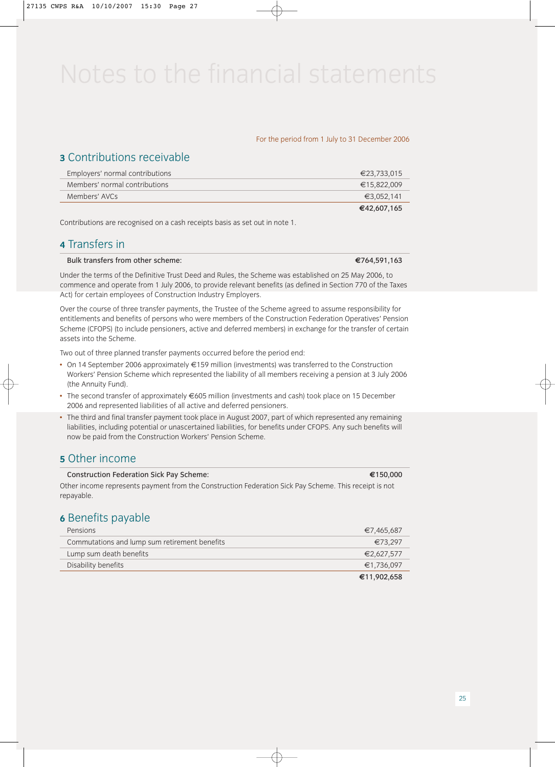#### For the period from 1 July to 31 December 2006

# **3** Contributions receivable

| Employers' normal contributions | €23.733.015 |
|---------------------------------|-------------|
| Members' normal contributions   | €15.822.009 |
| Members' AVCs                   | €3.052.141  |
|                                 | €42,607,165 |

Contributions are recognised on a cash receipts basis as set out in note 1.

# **4** Transfers in

#### Bulk transfers from other scheme: **€**764,591,163

Under the terms of the Definitive Trust Deed and Rules, the Scheme was established on 25 May 2006, to commence and operate from 1 July 2006, to provide relevant benefits (as defined in Section 770 of the Taxes Act) for certain employees of Construction Industry Employers.

Over the course of three transfer payments, the Trustee of the Scheme agreed to assume responsibility for entitlements and benefits of persons who were members of the Construction Federation Operatives' Pension Scheme (CFOPS) (to include pensioners, active and deferred members) in exchange for the transfer of certain assets into the Scheme.

Two out of three planned transfer payments occurred before the period end:

- On 14 September 2006 approximately €159 million (investments) was transferred to the Construction Workers' Pension Scheme which represented the liability of all members receiving a pension at 3 July 2006 (the Annuity Fund).
- The second transfer of approximately €605 million (investments and cash) took place on 15 December 2006 and represented liabilities of all active and deferred pensioners.
- The third and final transfer payment took place in August 2007, part of which represented any remaining liabilities, including potential or unascertained liabilities, for benefits under CFOPS. Any such benefits will now be paid from the Construction Workers' Pension Scheme.

# **5** Other income

| Construction Federation Sick Pay Scheme:                                                              | €150,000 |
|-------------------------------------------------------------------------------------------------------|----------|
| Other income represents payment from the Construction Federation Sick Pay Scheme. This receipt is not |          |
| repayable.                                                                                            |          |

# **6** Benefits payable

| Pensions                                      | €7,465,687  |
|-----------------------------------------------|-------------|
| Commutations and lump sum retirement benefits | €73.297     |
| Lump sum death benefits                       | €2,627,577  |
| Disability benefits                           | €1,736,097  |
|                                               | €11,902,658 |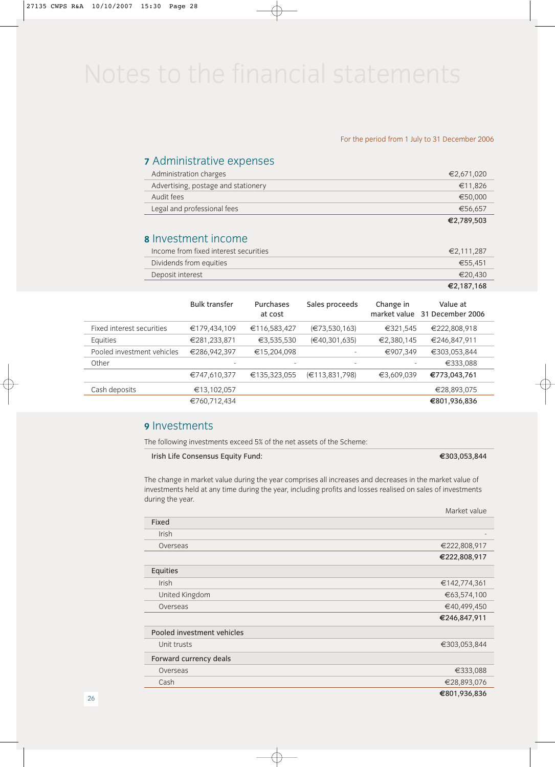### For the period from 1 July to 31 December 2006

# **7** Administrative expenses

| Administration charges              | €2,671,020 |
|-------------------------------------|------------|
| Advertising, postage and stationery | €11,826    |
| Audit fees                          | €50,000    |
| Legal and professional fees         | €56,657    |
|                                     | €2,789,503 |
| <b>8</b> Investment income          |            |

| Income from fixed interest securities | €2.111.287 |
|---------------------------------------|------------|
| Dividends from equities               | €55.451    |
| Deposit interest                      | €20.430    |
|                                       | €2.187.168 |

|                            | <b>Bulk transfer</b> | Purchases<br>at cost | Sales proceeds  | Change in  | Value at<br>market value 31 December 2006 |
|----------------------------|----------------------|----------------------|-----------------|------------|-------------------------------------------|
| Fixed interest securities  | €179,434,109         | €116,583,427         | (E73, 530, 163) | €321,545   | €222,808,918                              |
| Equities                   | €281,233,871         | €3,535,530           | (E40, 301, 635) | €2,380,145 | €246,847,911                              |
| Pooled investment vehicles | €286,942,397         | €15,204,098          | ٠               | €907,349   | €303,053,844                              |
| Other                      |                      |                      | ۰               |            | €333,088                                  |
|                            | €747,610,377         | €135,323,055         | (E113,831,798)  | €3,609,039 | €773,043,761                              |
| Cash deposits              | €13,102,057          |                      |                 |            | €28,893,075                               |
|                            | €760,712,434         |                      |                 |            | €801,936,836                              |

# **9** Investments

The following investments exceed 5% of the net assets of the Scheme:

### Irish Life Consensus Equity Fund: **€**303,053,844

The change in market value during the year comprises all increases and decreases in the market value of investments held at any time during the year, including profits and losses realised on sales of investments during the year.

|                            | Market value |
|----------------------------|--------------|
| Fixed                      |              |
| Irish                      |              |
| Overseas                   | €222,808,917 |
|                            | €222,808,917 |
| Equities                   |              |
| Irish                      | €142,774,361 |
| United Kingdom             | €63,574,100  |
| Overseas                   | €40,499,450  |
|                            | €246,847,911 |
| Pooled investment vehicles |              |
| Unit trusts                | €303,053,844 |
| Forward currency deals     |              |
| Overseas                   | €333,088     |
| Cash                       | €28,893,076  |
|                            | €801,936,836 |
|                            |              |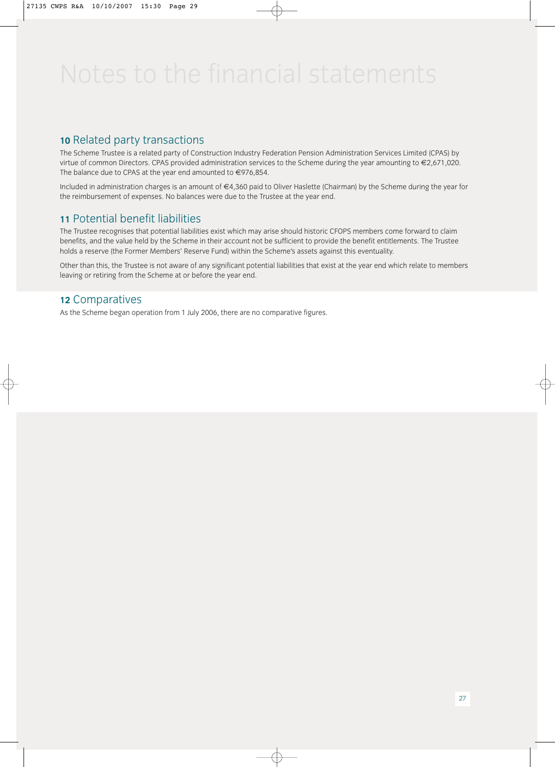# **10** Related party transactions

The Scheme Trustee is a related party of Construction Industry Federation Pension Administration Services Limited (CPAS) by virtue of common Directors. CPAS provided administration services to the Scheme during the year amounting to €2,671,020. The balance due to CPAS at the year end amounted to €976,854.

Included in administration charges is an amount of €4,360 paid to Oliver Haslette (Chairman) by the Scheme during the year for the reimbursement of expenses. No balances were due to the Trustee at the year end.

# **11** Potential benefit liabilities

The Trustee recognises that potential liabilities exist which may arise should historic CFOPS members come forward to claim benefits, and the value held by the Scheme in their account not be sufficient to provide the benefit entitlements. The Trustee holds a reserve (the Former Members' Reserve Fund) within the Scheme's assets against this eventuality.

Other than this, the Trustee is not aware of any significant potential liabilities that exist at the year end which relate to members leaving or retiring from the Scheme at or before the year end.

## **12** Comparatives

As the Scheme began operation from 1 July 2006, there are no comparative figures.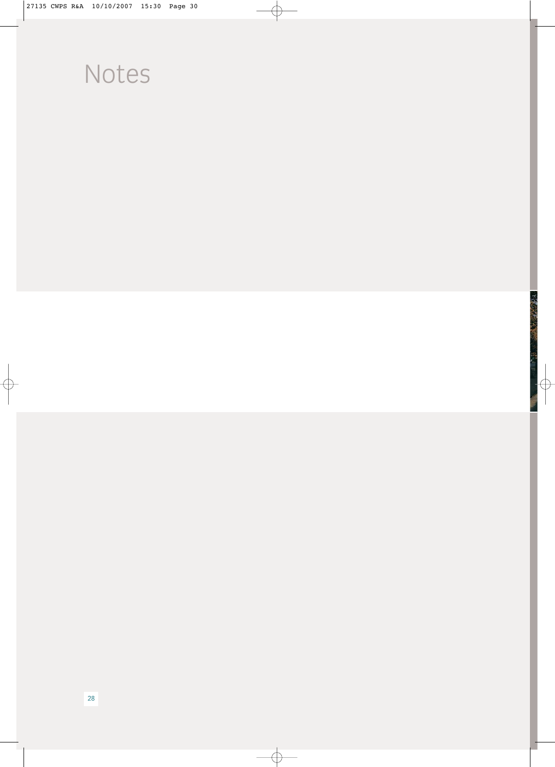$\rightarrow$ 

 $\overline{\varphi}$ 

Ξ

 $\oplus$ 

# Notes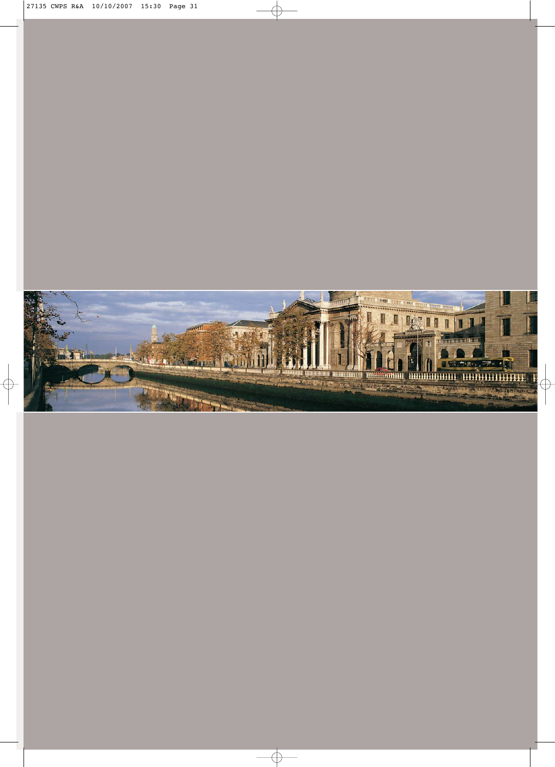

 $\bigoplus$